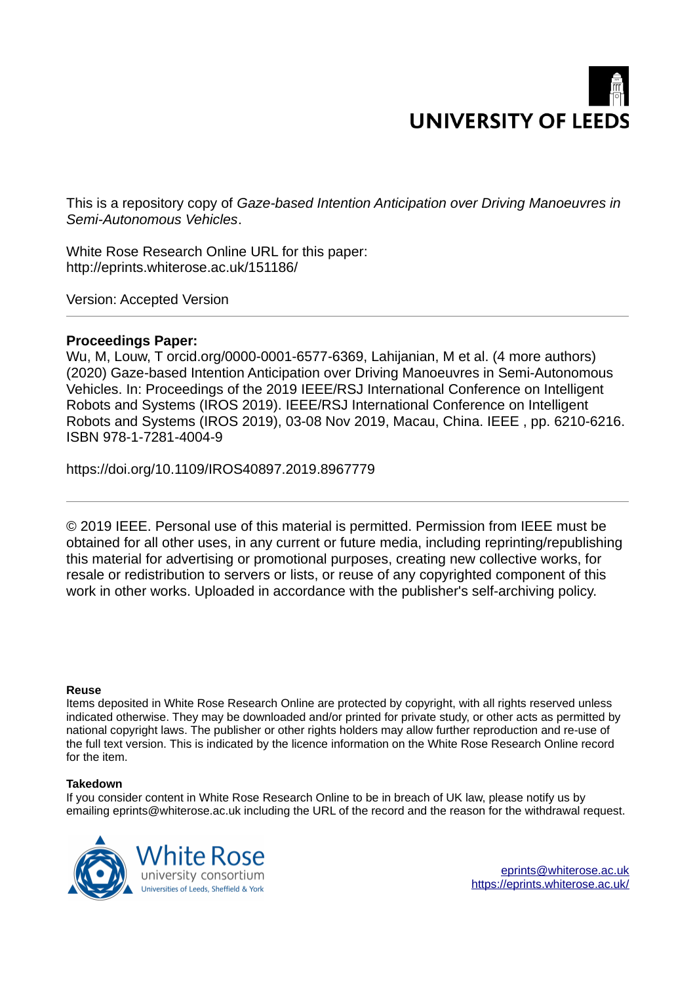# **UNIVERSITY OF LEED**

This is a repository copy of *Gaze-based Intention Anticipation over Driving Manoeuvres in Semi-Autonomous Vehicles*.

White Rose Research Online URL for this paper: http://eprints.whiterose.ac.uk/151186/

Version: Accepted Version

# **Proceedings Paper:**

Wu, M, Louw, T orcid.org/0000-0001-6577-6369, Lahijanian, M et al. (4 more authors) (2020) Gaze-based Intention Anticipation over Driving Manoeuvres in Semi-Autonomous Vehicles. In: Proceedings of the 2019 IEEE/RSJ International Conference on Intelligent Robots and Systems (IROS 2019). IEEE/RSJ International Conference on Intelligent Robots and Systems (IROS 2019), 03-08 Nov 2019, Macau, China. IEEE , pp. 6210-6216. ISBN 978-1-7281-4004-9

https://doi.org/10.1109/IROS40897.2019.8967779

© 2019 IEEE. Personal use of this material is permitted. Permission from IEEE must be obtained for all other uses, in any current or future media, including reprinting/republishing this material for advertising or promotional purposes, creating new collective works, for resale or redistribution to servers or lists, or reuse of any copyrighted component of this work in other works. Uploaded in accordance with the publisher's self-archiving policy.

# **Reuse**

Items deposited in White Rose Research Online are protected by copyright, with all rights reserved unless indicated otherwise. They may be downloaded and/or printed for private study, or other acts as permitted by national copyright laws. The publisher or other rights holders may allow further reproduction and re-use of the full text version. This is indicated by the licence information on the White Rose Research Online record for the item.

# **Takedown**

If you consider content in White Rose Research Online to be in breach of UK law, please notify us by emailing eprints@whiterose.ac.uk including the URL of the record and the reason for the withdrawal request.

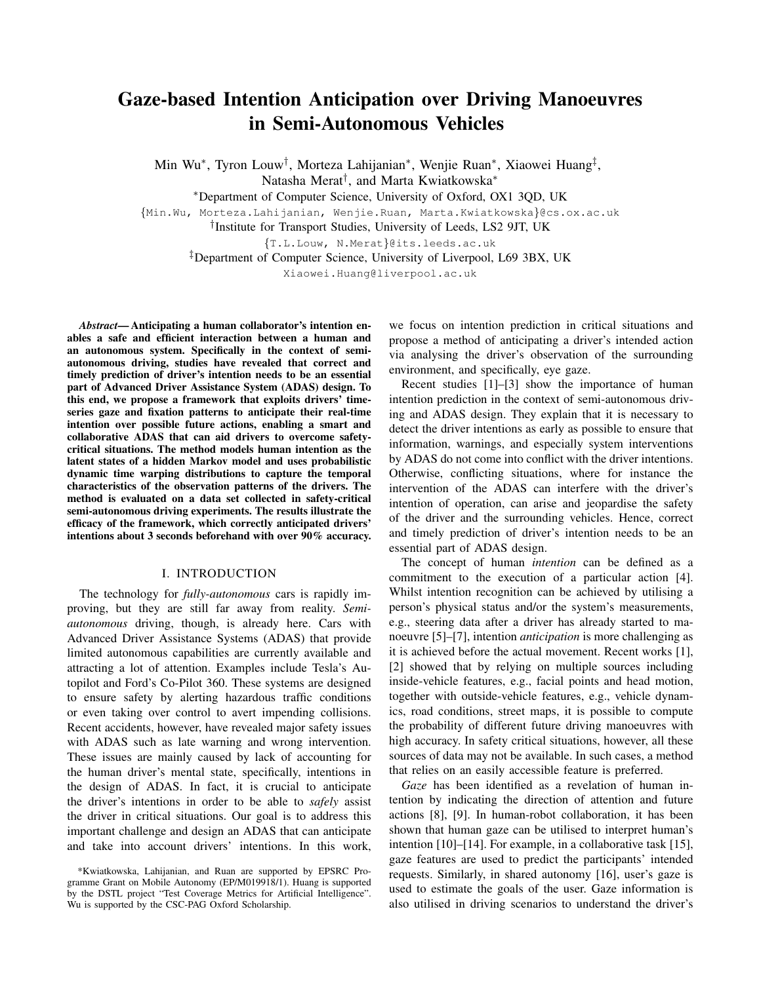# Gaze-based Intention Anticipation over Driving Manoeuvres in Semi-Autonomous Vehicles

Min Wu<sup>∗</sup>, Tyron Louw<sup>†</sup>, Morteza Lahijanian<sup>∗</sup>, Wenjie Ruan<sup>∗</sup>, Xiaowei Huang<sup>‡</sup>, Natasha Merat† , and Marta Kwiatkowska<sup>∗</sup>

<sup>∗</sup>Department of Computer Science, University of Oxford, OX1 3QD, UK

{Min.Wu, Morteza.Lahijanian, Wenjie.Ruan, Marta.Kwiatkowska}@cs.ox.ac.uk

† Institute for Transport Studies, University of Leeds, LS2 9JT, UK

<span id="page-1-0"></span>{T.L.Louw, N.Merat}@its.leeds.ac.uk

‡Department of Computer Science, University of Liverpool, L69 3BX, UK

Xiaowei.Huang@liverpool.ac.uk

*Abstract*— Anticipating a human collaborator's intention enables a safe and efficient interaction between a human and an autonomous system. Specifically in the context of semiautonomous driving, studies have revealed that correct and timely prediction of driver's intention needs to be an essential part of Advanced Driver Assistance System (ADAS) design. To this end, we propose a framework that exploits drivers' timeseries gaze and fixation patterns to anticipate their real-time intention over possible future actions, enabling a smart and collaborative ADAS that can aid drivers to overcome safetycritical situations. The method models human intention as the latent states of a hidden Markov model and uses probabilistic dynamic time warping distributions to capture the temporal characteristics of the observation patterns of the drivers. The method is evaluated on a data set collected in safety-critical semi-autonomous driving experiments. The results illustrate the efficacy of the framework, which correctly anticipated drivers' intentions about 3 seconds beforehand with over 90% accuracy.

#### I. INTRODUCTION

The technology for *fully-autonomous* cars is rapidly improving, but they are still far away from reality. *Semiautonomous* driving, though, is already here. Cars with Advanced Driver Assistance Systems (ADAS) that provide limited autonomous capabilities are currently available and attracting a lot of attention. Examples include Tesla's Autopilot and Ford's Co-Pilot 360. These systems are designed to ensure safety by alerting hazardous traffic conditions or even taking over control to avert impending collisions. Recent accidents, however, have revealed major safety issues with ADAS such as late warning and wrong intervention. These issues are mainly caused by lack of accounting for the human driver's mental state, specifically, intentions in the design of ADAS. In fact, it is crucial to anticipate the driver's intentions in order to be able to *safely* assist the driver in critical situations. Our goal is to address this important challenge and design an ADAS that can anticipate and take into account drivers' intentions. In this work, we focus on intention prediction in critical situations and propose a method of anticipating a driver's intended action via analysing the driver's observation of the surrounding environment, and specifically, eye gaze.

Recent studies [1]–[3] show the importance of human intention prediction in the context of semi-autonomous driving and ADAS design. They explain that it is necessary to detect the driver intentions as early as possible to ensure that information, warnings, and especially system interventions by ADAS do not come into conflict with the driver intentions. Otherwise, conflicting situations, where for instance the intervention of the ADAS can interfere with the driver's intention of operation, can arise and jeopardise the safety of the driver and the surrounding vehicles. Hence, correct and timely prediction of driver's intention needs to be an essential part of ADAS design.

The concept of human *intention* can be defined as a commitment to the execution of a particular action [4]. Whilst intention recognition can be achieved by utilising a person's physical status and/or the system's measurements, e.g., steering data after a driver has already started to manoeuvre [5]–[7], intention *anticipation* is more challenging as it is achieved before the actual movement. Recent works [1], [2] showed that by relying on multiple sources including inside-vehicle features, e.g., facial points and head motion, together with outside-vehicle features, e.g., vehicle dynamics, road conditions, street maps, it is possible to compute the probability of different future driving manoeuvres with high accuracy. In safety critical situations, however, all these sources of data may not be available. In such cases, a method that relies on an easily accessible feature is preferred.

*Gaze* has been identified as a revelation of human intention by indicating the direction of attention and future actions [8], [9]. In human-robot collaboration, it has been shown that human gaze can be utilised to interpret human's intention [10]–[14]. For example, in a collaborative task [15], gaze features are used to predict the participants' intended requests. Similarly, in shared autonomy [16], user's gaze is used to estimate the goals of the user. Gaze information is also utilised in driving scenarios to understand the driver's

<sup>\*</sup>Kwiatkowska, Lahijanian, and Ruan are supported by EPSRC Programme Grant on Mobile Autonomy (EP/M019918/1). Huang is supported by the DSTL project "Test Coverage Metrics for Artificial Intelligence". Wu is supported by the CSC-PAG Oxford Scholarship.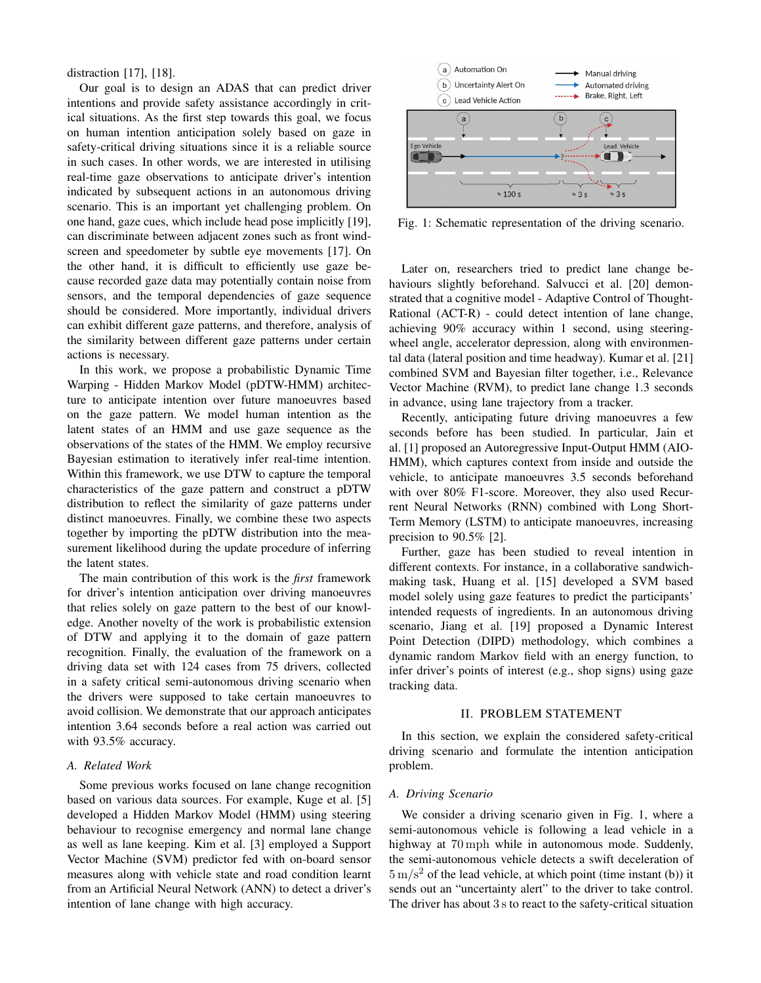<span id="page-2-0"></span>distraction [17], [18].

Our goal is to design an ADAS that can predict driver intentions and provide safety assistance accordingly in critical situations. As the first step towards this goal, we focus on human intention anticipation solely based on gaze in safety-critical driving situations since it is a reliable source in such cases. In other words, we are interested in utilising real-time gaze observations to anticipate driver's intention indicated by subsequent actions in an autonomous driving scenario. This is an important yet challenging problem. On one hand, gaze cues, which include head pose implicitly [19], can discriminate between adjacent zones such as front windscreen and speedometer by subtle eye movements [17]. On the other hand, it is difficult to efficiently use gaze because recorded gaze data may potentially contain noise from sensors, and the temporal dependencies of gaze sequence should be considered. More importantly, individual drivers can exhibit different gaze patterns, and therefore, analysis of the similarity between different gaze patterns under certain actions is necessary.

In this work, we propose a probabilistic Dynamic Time Warping - Hidden Markov Model (pDTW-HMM) architecture to anticipate intention over future manoeuvres based on the gaze pattern. We model human intention as the latent states of an HMM and use gaze sequence as the observations of the states of the HMM. We employ recursive Bayesian estimation to iteratively infer real-time intention. Within this framework, we use DTW to capture the temporal characteristics of the gaze pattern and construct a pDTW distribution to reflect the similarity of gaze patterns under distinct manoeuvres. Finally, we combine these two aspects together by importing the pDTW distribution into the measurement likelihood during the update procedure of inferring the latent states.

<span id="page-2-1"></span>The main contribution of this work is the *first* framework for driver's intention anticipation over driving manoeuvres that relies solely on gaze pattern to the best of our knowledge. Another novelty of the work is probabilistic extension of DTW and applying it to the domain of gaze pattern recognition. Finally, the evaluation of the framework on a driving data set with 124 cases from 75 drivers, collected in a safety critical semi-autonomous driving scenario when the drivers were supposed to take certain manoeuvres to avoid collision. We demonstrate that our approach anticipates intention 3.64 seconds before a real action was carried out with 93.5% accuracy.

#### <span id="page-2-2"></span>*A. Related Work*

Some previous works focused on lane change recognition based on various data sources. For example, Kuge et al. [5] developed a Hidden Markov Model (HMM) using steering behaviour to recognise emergency and normal lane change as well as lane keeping. Kim et al. [3] employed a Support Vector Machine (SVM) predictor fed with on-board sensor measures along with vehicle state and road condition learnt from an Artificial Neural Network (ANN) to detect a driver's intention of lane change with high accuracy.

<span id="page-2-3"></span>

Fig. 1: Schematic representation of the driving scenario.

Later on, researchers tried to predict lane change behaviours slightly beforehand. Salvucci et al. [20] demonstrated that a cognitive model - Adaptive Control of Thought-Rational (ACT-R) - could detect intention of lane change, achieving 90% accuracy within 1 second, using steeringwheel angle, accelerator depression, along with environmental data (lateral position and time headway). Kumar et al. [21] combined SVM and Bayesian filter together, i.e., Relevance Vector Machine (RVM), to predict lane change 1.3 seconds in advance, using lane trajectory from a tracker.

<span id="page-2-7"></span>Recently, anticipating future driving manoeuvres a few seconds before has been studied. In particular, Jain et al. [1] proposed an Autoregressive Input-Output HMM (AIO-HMM), which captures context from inside and outside the vehicle, to anticipate manoeuvres 3.5 seconds beforehand with over 80% F1-score. Moreover, they also used Recurrent Neural Networks (RNN) combined with Long Short-Term Memory (LSTM) to anticipate manoeuvres, increasing precision to 90.5% [2].

<span id="page-2-4"></span>Further, gaze has been studied to reveal intention in different contexts. For instance, in a collaborative sandwichmaking task, Huang et al. [15] developed a SVM based model solely using gaze features to predict the participants' intended requests of ingredients. In an autonomous driving scenario, Jiang et al. [19] proposed a Dynamic Interest Point Detection (DIPD) methodology, which combines a dynamic random Markov field with an energy function, to infer driver's points of interest (e.g., shop signs) using gaze tracking data.

#### <span id="page-2-6"></span>II. PROBLEM STATEMENT

In this section, we explain the considered safety-critical driving scenario and formulate the intention anticipation problem.

# *A. Driving Scenario*

<span id="page-2-5"></span>We consider a driving scenario given in Fig. [1,](#page-1-0) where a semi-autonomous vehicle is following a lead vehicle in a highway at 70 mph while in autonomous mode. Suddenly, the semi-autonomous vehicle detects a swift deceleration of  $5 \text{ m/s}^2$  of the lead vehicle, at which point (time instant (b)) it sends out an "uncertainty alert" to the driver to take control. The driver has about 3 s to react to the safety-critical situation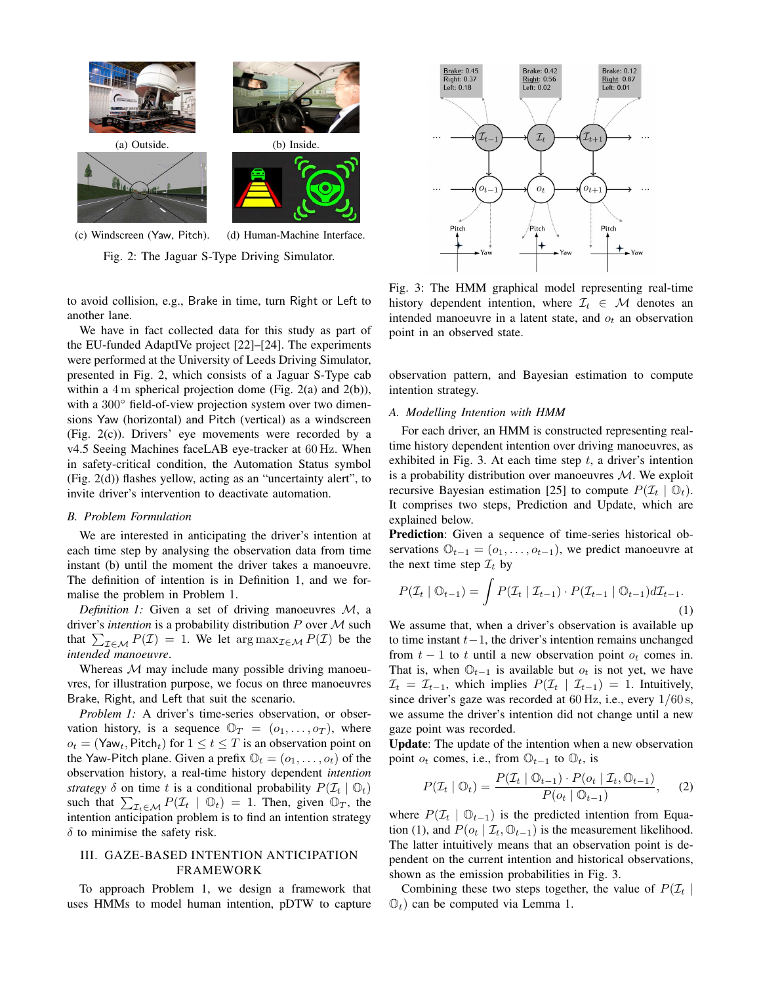

Fig. 2: The Jaguar S-Type Driving Simulator.

to avoid collision, e.g., Brake in time, turn Right or Left to another lane.

We have in fact collected data for this study as part of the EU-funded AdaptIVe project [22]–[24]. The experiments were performed at the University of Leeds Driving Simulator, presented in Fig. [2,](#page-2-0) which consists of a Jaguar S-Type cab within a 4 m spherical projection dome (Fig. [2\(a\)](#page-2-0) and [2\(b\)\)](#page-2-0), with a 300 $\degree$  field-of-view projection system over two dimensions Yaw (horizontal) and Pitch (vertical) as a windscreen (Fig. [2\(c\)\)](#page-2-0). Drivers' eye movements were recorded by a v4.5 Seeing Machines faceLAB eye-tracker at 60 Hz. When in safety-critical condition, the Automation Status symbol (Fig. [2\(d\)\)](#page-2-0) flashes yellow, acting as an "uncertainty alert", to invite driver's intervention to deactivate automation.

#### <span id="page-3-2"></span>*B. Problem Formulation*

We are interested in anticipating the driver's intention at each time step by analysing the observation data from time instant (b) until the moment the driver takes a manoeuvre. The definition of intention is in Definition [1,](#page-2-1) and we formalise the problem in Problem [1.](#page-2-2)

*Definition 1:* Given a set of driving manoeuvres M, a driver's *intention* is a probability distribution  $P$  over  $M$  such that  $\sum_{\mathcal{I} \in \mathcal{M}} P(\mathcal{I}) = 1$ . We let  $\arg \max_{\mathcal{I} \in \mathcal{M}} P(\mathcal{I})$  be the *intended manoeuvre*.

Whereas  $M$  may include many possible driving manoeuvres, for illustration purpose, we focus on three manoeuvres Brake, Right, and Left that suit the scenario.

*Problem 1:* A driver's time-series observation, or observation history, is a sequence  $\mathbb{O}_T = (o_1, \ldots, o_T)$ , where  $o_t = (\mathsf{Yaw}_t, \mathsf{Pitch}_t)$  for  $1 \le t \le T$  is an observation point on the Yaw-Pitch plane. Given a prefix  $\mathbb{O}_t = (o_1, \ldots, o_t)$  of the observation history, a real-time history dependent *intention strategy*  $\delta$  on time t is a conditional probability  $P(\mathcal{I}_t | \mathbb{O}_t)$ such that  $\sum_{\mathcal{I}_t \in \mathcal{M}} P(\mathcal{I}_t | \mathbb{O}_t) = 1$ . Then, given  $\mathbb{O}_T$ , the intention anticipation problem is to find an intention strategy  $\delta$  to minimise the safety risk.

# III. GAZE-BASED INTENTION ANTICIPATION FRAMEWORK

To approach Problem [1,](#page-2-2) we design a framework that uses HMMs to model human intention, pDTW to capture

<span id="page-3-0"></span>

Fig. 3: The HMM graphical model representing real-time history dependent intention, where  $\mathcal{I}_t \in \mathcal{M}$  denotes an intended manoeuvre in a latent state, and  $o_t$  an observation point in an observed state.

observation pattern, and Bayesian estimation to compute intention strategy.

#### *A. Modelling Intention with HMM*

For each driver, an HMM is constructed representing realtime history dependent intention over driving manoeuvres, as exhibited in Fig. [3.](#page-2-3) At each time step  $t$ , a driver's intention is a probability distribution over manoeuvres  $M$ . We exploit recursive Bayesian estimation [25] to compute  $P(\mathcal{I}_t | \mathbb{O}_t)$ . It comprises two steps, Prediction and Update, which are explained below.

<span id="page-3-1"></span>Prediction: Given a sequence of time-series historical observations  $\mathbb{O}_{t-1} = (o_1, \ldots, o_{t-1})$ , we predict manoeuvre at the next time step  $\mathcal{I}_t$  by

$$
P(\mathcal{I}_t | \mathbb{O}_{t-1}) = \int P(\mathcal{I}_t | \mathcal{I}_{t-1}) \cdot P(\mathcal{I}_{t-1} | \mathbb{O}_{t-1}) d\mathcal{I}_{t-1}.
$$
\n(1)

We assume that, when a driver's observation is available up to time instant  $t-1$ , the driver's intention remains unchanged from  $t - 1$  to t until a new observation point  $o_t$  comes in. That is, when  $\mathbb{O}_{t-1}$  is available but  $o_t$  is not yet, we have  $\mathcal{I}_t = \mathcal{I}_{t-1}$ , which implies  $P(\mathcal{I}_t | \mathcal{I}_{t-1}) = 1$ . Intuitively, since driver's gaze was recorded at  $60 \text{ Hz}$ , i.e., every  $1/60 \text{ s}$ , we assume the driver's intention did not change until a new gaze point was recorded.

Update: The update of the intention when a new observation point  $o_t$  comes, i.e., from  $\mathbb{O}_{t-1}$  to  $\mathbb{O}_t$ , is

$$
P(\mathcal{I}_t | \mathbb{O}_t) = \frac{P(\mathcal{I}_t | \mathbb{O}_{t-1}) \cdot P(o_t | \mathcal{I}_t, \mathbb{O}_{t-1})}{P(o_t | \mathbb{O}_{t-1})}, \quad (2)
$$

where  $P(\mathcal{I}_t | \mathbb{O}_{t-1})$  is the predicted intention from Equa-tion [\(1\)](#page-2-4), and  $P(o_t | \mathcal{I}_t, \mathbb{O}_{t-1})$  is the measurement likelihood. The latter intuitively means that an observation point is dependent on the current intention and historical observations, shown as the emission probabilities in Fig. [3.](#page-2-3)

<span id="page-3-3"></span>Combining these two steps together, the value of  $P(\mathcal{I}_t |$  $\mathbb{O}_t$ ) can be computed via Lemma [1.](#page-2-5)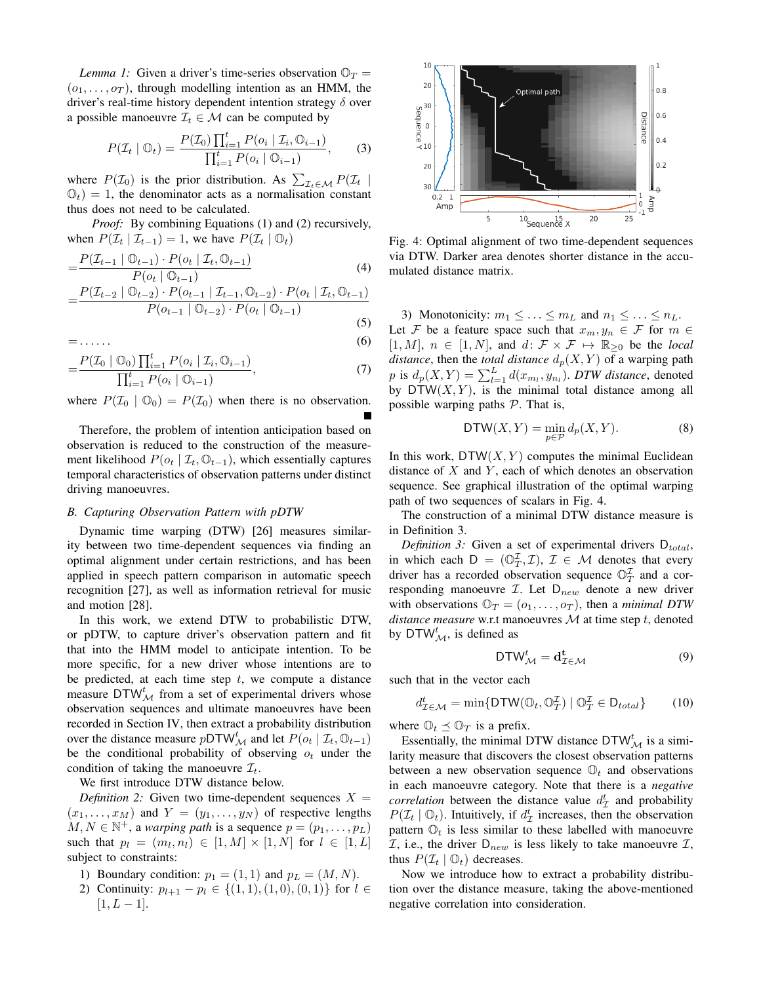*Lemma 1:* Given a driver's time-series observation  $\mathbb{O}_T$  =  $(o_1, \ldots, o_T)$ , through modelling intention as an HMM, the driver's real-time history dependent intention strategy  $\delta$  over a possible manoeuvre  $\mathcal{I}_t \in \mathcal{M}$  can be computed by

$$
P(\mathcal{I}_t | \mathbb{O}_t) = \frac{P(\mathcal{I}_0) \prod_{i=1}^t P(o_i | \mathcal{I}_i, \mathbb{O}_{i-1})}{\prod_{i=1}^t P(o_i | \mathbb{O}_{i-1})},
$$
(3)

where  $P(\mathcal{I}_0)$  is the prior distribution. As  $\sum_{\mathcal{I}_t \in \mathcal{M}} P(\mathcal{I}_t |$  $\mathbb{O}_t$ ) = 1, the denominator acts as a normalisation constant thus does not need to be calculated.

*Proof:* By combining Equations [\(1\)](#page-2-4) and [\(2\)](#page-2-6) recursively, when  $P(\mathcal{I}_t | \mathcal{I}_{t-1}) = 1$ , we have  $P(\mathcal{I}_t | \mathcal{O}_t)$ 

$$
=\frac{P(\mathcal{I}_{t-1} | \mathbb{O}_{t-1}) \cdot P(o_t | \mathcal{I}_t, \mathbb{O}_{t-1})}{P(o_t | \mathbb{O}_{t-1})}
$$
(4)

$$
=\frac{P(\mathcal{I}_{t-2} | \mathbb{O}_{t-2}) \cdot P(o_{t-1} | \mathcal{I}_{t-1}, \mathbb{O}_{t-2}) \cdot P(o_t | \mathcal{I}_t, \mathbb{O}_{t-1})}{P(o_{t-1} | \mathbb{O}_{t-2}) \cdot P(o_t | \mathbb{O}_{t-1})}
$$
(5)

 $=$ ...... (6)

$$
=\frac{P(\mathcal{I}_0 \mid \mathbb{O}_0) \prod_{i=1}^t P(o_i \mid \mathcal{I}_i, \mathbb{O}_{i-1})}{\prod_{i=1}^t P(o_i \mid \mathbb{O}_{i-1})},\tag{7}
$$

where  $P(\mathcal{I}_0 | \mathbb{O}_0) = P(\mathcal{I}_0)$  when there is no observation.

Therefore, the problem of intention anticipation based on observation is reduced to the construction of the measurement likelihood  $P(o_t | \mathcal{I}_t, \mathbb{O}_{t-1})$ , which essentially captures temporal characteristics of observation patterns under distinct driving manoeuvres.

# *B. Capturing Observation Pattern with pDTW*

Dynamic time warping (DTW) [26] measures similarity between two time-dependent sequences via finding an optimal alignment under certain restrictions, and has been applied in speech pattern comparison in automatic speech recognition [27], as well as information retrieval for music and motion [28].

<span id="page-4-1"></span>In this work, we extend DTW to probabilistic DTW, or pDTW, to capture driver's observation pattern and fit that into the HMM model to anticipate intention. To be more specific, for a new driver whose intentions are to be predicted, at each time step  $t$ , we compute a distance measure DTW $_{\mathcal{M}}^{t}$  from a set of experimental drivers whose observation sequences and ultimate manoeuvres have been recorded in Section [IV,](#page-4-0) then extract a probability distribution over the distance measure pDTW<sup>t</sup><sub>M</sub> and let  $P(o_t | \mathcal{I}_t, \mathbb{O}_{t-1})$ be the conditional probability of observing  $o_t$  under the condition of taking the manoeuvre  $\mathcal{I}_t$ .

We first introduce DTW distance below.

*Definition 2:* Given two time-dependent sequences  $X =$  $(x_1, \ldots, x_M)$  and  $Y = (y_1, \ldots, y_N)$  of respective lengths  $M, N \in \mathbb{N}^+$ , a *warping path* is a sequence  $p = (p_1, \ldots, p_L)$ such that  $p_l = (m_l, n_l) \in [1, M] \times [1, N]$  for  $l \in [1, L]$ subject to constraints:

- 1) Boundary condition:  $p_1 = (1, 1)$  and  $p_L = (M, N)$ .
- 2) Continuity:  $p_{l+1} p_l \in \{(1, 1), (1, 0), (0, 1)\}$  for  $l \in$  $[1, L - 1]$ .

<span id="page-4-2"></span>

<span id="page-4-3"></span>Fig. 4: Optimal alignment of two time-dependent sequences via DTW. Darker area denotes shorter distance in the accumulated distance matrix.

3) Monotonicity:  $m_1 \leq \ldots \leq m_L$  and  $n_1 \leq \ldots \leq n_L$ . Let F be a feature space such that  $x_m, y_n \in \mathcal{F}$  for  $m \in \mathcal{F}$  $[1, M], n \in [1, N],$  and  $d: \mathcal{F} \times \mathcal{F} \mapsto \mathbb{R}_{\geq 0}$  be the *local distance*, then the *total distance*  $d_p(X, Y)$  of a warping path  $p$  is  $d_p(X, Y) = \sum_{l=1}^{L} d(x_{m_l}, y_{n_l})$ . *DTW distance*, denoted by  $DTW(X, Y)$ , is the minimal total distance among all possible warping paths  $P$ . That is,

$$
\mathsf{DTW}(X,Y) = \min_{p \in \mathcal{P}} d_p(X,Y). \tag{8}
$$

In this work,  $DTW(X, Y)$  computes the minimal Euclidean distance of  $X$  and  $Y$ , each of which denotes an observation sequence. See graphical illustration of the optimal warping path of two sequences of scalars in Fig. [4.](#page-3-0)

The construction of a minimal DTW distance measure is in Definition [3.](#page-3-1)

<span id="page-4-0"></span>*Definition 3:* Given a set of experimental drivers  $D_{total}$ , in which each  $D = (\mathbb{O}_T^{\mathcal{I}}, \mathcal{I}), \mathcal{I} \in \mathcal{M}$  denotes that every driver has a recorded observation sequence  $\mathbb{O}_T^{\mathcal{I}}$  and a corresponding manoeuvre  $I$ . Let  $D_{new}$  denote a new driver with observations  $\mathbb{O}_T = (o_1, \ldots, o_T)$ , then a *minimal DTW distance measure* w.r.t manoeuvres  $M$  at time step  $t$ , denoted by DTW $_{\mathcal{M}}^{t}$ , is defined as

$$
\mathsf{DTW}_{\mathcal{M}}^t = \mathbf{d}_{\mathcal{I} \in \mathcal{M}}^t \tag{9}
$$

such that in the vector each

$$
d_{\mathcal{I}\in\mathcal{M}}^t = \min\{\mathsf{DTW}(\mathbb{O}_t, \mathbb{O}_T^{\mathcal{I}}) \mid \mathbb{O}_T^{\mathcal{I}} \in \mathsf{D}_{total}\}\tag{10}
$$

where  $\mathbb{O}_t \preceq \mathbb{O}_T$  is a prefix.

Essentially, the minimal DTW distance  $DTW^t_M$  is a similarity measure that discovers the closest observation patterns between a new observation sequence  $\mathbb{O}_t$  and observations in each manoeuvre category. Note that there is a *negative correlation* between the distance value  $d_{\mathcal{I}}^{t}$  and probability  $P(\mathcal{I}_t | \mathbb{O}_t)$ . Intuitively, if  $d_{\mathcal{I}}^t$  increases, then the observation pattern  $\mathbb{O}_t$  is less similar to these labelled with manoeuvre  $\mathcal{I}$ , i.e., the driver  $D_{new}$  is less likely to take manoeuvre  $\mathcal{I}$ , thus  $P(\mathcal{I}_t | \mathbb{O}_t)$  decreases.

Now we introduce how to extract a probability distribution over the distance measure, taking the above-mentioned negative correlation into consideration.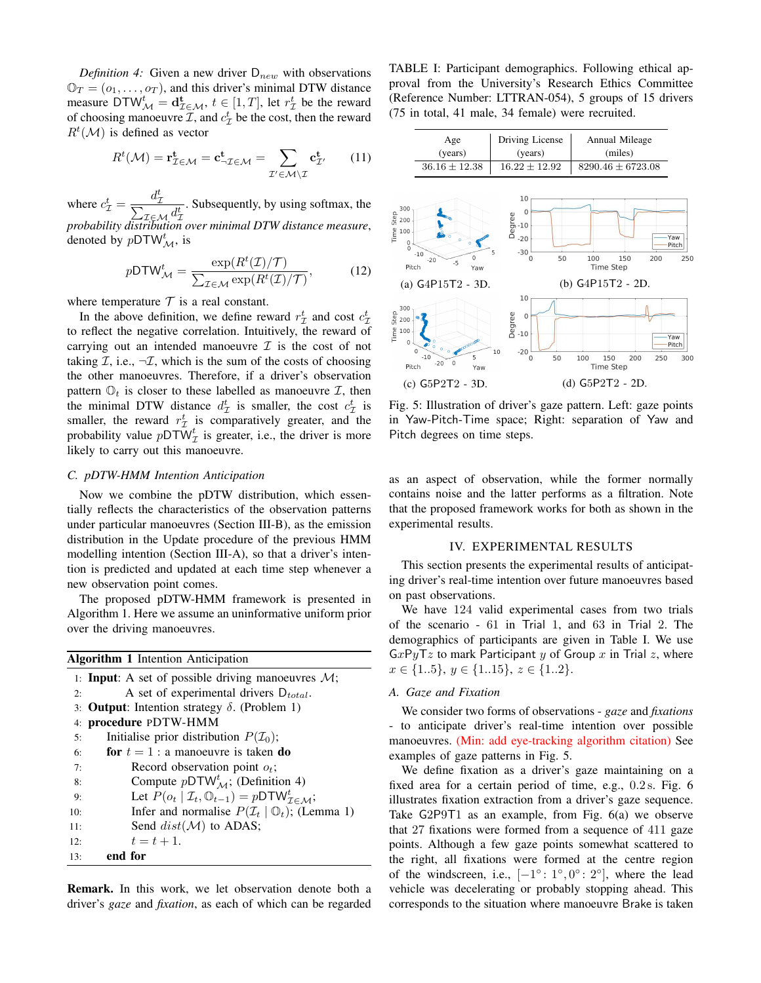<span id="page-5-0"></span>*Definition 4:* Given a new driver  $D_{new}$  with observations  $\mathbb{O}_T = (o_1, \ldots, o_T)$ , and this driver's minimal DTW distance measure  $\text{DTW}_{\mathcal{M}}^t = \mathbf{d}_{\mathcal{I} \in \mathcal{M}}^t$ ,  $t \in [1, T]$ , let  $r_{\mathcal{I}}^t$  be the reward of choosing manoeuvre  $\mathcal{I}$ , and  $c_{\mathcal{I}}^{t}$  be the cost, then the reward  $R^t(\mathcal{M})$  is defined as vector

$$
R^{t}(\mathcal{M}) = \mathbf{r}_{\mathcal{I} \in \mathcal{M}}^{\mathbf{t}} = \mathbf{c}_{\neg \mathcal{I} \in \mathcal{M}}^{\mathbf{t}} = \sum_{\mathcal{I}' \in \mathcal{M} \setminus \mathcal{I}} \mathbf{c}_{\mathcal{I}'}^{\mathbf{t}} \qquad (11)
$$

<span id="page-5-1"></span>where  $c_{\mathcal{I}}^t = \frac{d_{\mathcal{I}}^t}{\nabla}$  $\sum$ I  $_{\mathcal{I}\in\mathcal{M}_{\cdot}}d_{\mathcal{I}}^{t}$ . Subsequently, by using softmax, the *probability distribution over minimal DTW distance measure*, denoted by  $pDTW_M^t$ , is

$$
p\text{DTW}_{\mathcal{M}}^t = \frac{\exp(R^t(\mathcal{I})/\mathcal{T})}{\sum_{\mathcal{I}\in\mathcal{M}}\exp(R^t(\mathcal{I})/\mathcal{T})},\tag{12}
$$

where temperature  $T$  is a real constant.

In the above definition, we define reward  $r_{\mathcal{I}}^{t}$  and cost  $c_{\mathcal{I}}^{t}$ to reflect the negative correlation. Intuitively, the reward of carrying out an intended manoeuvre  $\mathcal I$  is the cost of not taking  $\mathcal{I}$ , i.e.,  $\neg \mathcal{I}$ , which is the sum of the costs of choosing the other manoeuvres. Therefore, if a driver's observation pattern  $\mathbb{O}_t$  is closer to these labelled as manoeuvre  $\mathcal{I}$ , then the minimal DTW distance  $d_{\mathcal{I}}^t$  is smaller, the cost  $c_{\mathcal{I}}^t$  is smaller, the reward  $r_{\mathcal{I}}^{t}$  is comparatively greater, and the probability value  $pDT\tilde{W}_{\mathcal{I}}^{t}$  is greater, i.e., the driver is more likely to carry out this manoeuvre.

# *C. pDTW-HMM Intention Anticipation*

Now we combine the pDTW distribution, which essentially reflects the characteristics of the observation patterns under particular manoeuvres (Section [III-B\)](#page-3-2), as the emission distribution in the Update procedure of the previous HMM modelling intention (Section [III-A\)](#page-2-7), so that a driver's intention is predicted and updated at each time step whenever a new observation point comes.

The proposed pDTW-HMM framework is presented in Algorithm [1.](#page-4-1) Here we assume an uninformative uniform prior over the driving manoeuvres.

| <b>Algorithm 1</b> Intention Anticipation |                                                                                         |  |  |  |  |  |
|-------------------------------------------|-----------------------------------------------------------------------------------------|--|--|--|--|--|
|                                           | 1: <b>Input:</b> A set of possible driving manoeuvres $M$ ;                             |  |  |  |  |  |
| 2:                                        | A set of experimental drivers $D_{total}$ .                                             |  |  |  |  |  |
|                                           | 3: <b>Output:</b> Intention strategy $\delta$ . (Problem 1)                             |  |  |  |  |  |
|                                           | 4: procedure PDTW-HMM                                                                   |  |  |  |  |  |
| 5:                                        | Initialise prior distribution $P(\mathcal{I}_0)$ ;                                      |  |  |  |  |  |
| 6:                                        | <b>for</b> $t = 1$ : a manoeuvre is taken <b>do</b>                                     |  |  |  |  |  |
| 7:                                        | Record observation point $o_t$ ;                                                        |  |  |  |  |  |
| 8:                                        | Compute $pDTW^t_M$ ; (Definition 4)                                                     |  |  |  |  |  |
| 9:                                        | Let $P(o_t   \mathcal{I}_t, \mathbb{O}_{t-1}) = pDTW_{\mathcal{I} \in \mathcal{M}}^t$ ; |  |  |  |  |  |
| 10:                                       | Infer and normalise $P(\mathcal{I}_t   \mathbb{O}_t)$ ; (Lemma 1)                       |  |  |  |  |  |
| 11:                                       | Send $dist(\mathcal{M})$ to ADAS;                                                       |  |  |  |  |  |
| 12:                                       | $t = t + 1.$                                                                            |  |  |  |  |  |
| 13:                                       | end for                                                                                 |  |  |  |  |  |
|                                           |                                                                                         |  |  |  |  |  |

Remark. In this work, we let observation denote both a driver's *gaze* and *fixation*, as each of which can be regarded

<span id="page-5-2"></span>TABLE I: Participant demographics. Following ethical approval from the University's Research Ethics Committee (Reference Number: LTTRAN-054), 5 groups of 15 drivers (75 in total, 41 male, 34 female) were recruited.

| Age               | Driving License   | Annual Mileage        |  |  |
|-------------------|-------------------|-----------------------|--|--|
| (years)           | (years)           | (miles)               |  |  |
| $36.16 \pm 12.38$ | $16.22 \pm 12.92$ | $8290.46 \pm 6723.08$ |  |  |



Fig. 5: Illustration of driver's gaze pattern. Left: gaze points in Yaw-Pitch-Time space; Right: separation of Yaw and Pitch degrees on time steps.

as an aspect of observation, while the former normally contains noise and the latter performs as a filtration. Note that the proposed framework works for both as shown in the experimental results.

# IV. EXPERIMENTAL RESULTS

This section presents the experimental results of anticipating driver's real-time intention over future manoeuvres based on past observations.

We have 124 valid experimental cases from two trials of the scenario - 61 in Trial 1, and 63 in Trial 2. The demographics of participants are given in Table [I.](#page-4-2) We use  $GxPyTz$  to mark Participant y of Group x in Trial z, where  $x \in \{1..5\}, y \in \{1..15\}, z \in \{1..2\}.$ 

# *A. Gaze and Fixation*

We consider two forms of observations - *gaze* and *fixations* - to anticipate driver's real-time intention over possible manoeuvres. (Min: add eye-tracking algorithm citation) See examples of gaze patterns in Fig. [5.](#page-4-3)

We define fixation as a driver's gaze maintaining on a fixed area for a certain period of time, e.g., 0.2 s. Fig. [6](#page-5-0) illustrates fixation extraction from a driver's gaze sequence. Take G2P9T1 as an example, from Fig. [6\(a\)](#page-5-0) we observe that 27 fixations were formed from a sequence of 411 gaze points. Although a few gaze points somewhat scattered to the right, all fixations were formed at the centre region of the windscreen, i.e.,  $[-1^\circ: 1^\circ, 0^\circ: 2^\circ]$ , where the lead vehicle was decelerating or probably stopping ahead. This corresponds to the situation where manoeuvre Brake is taken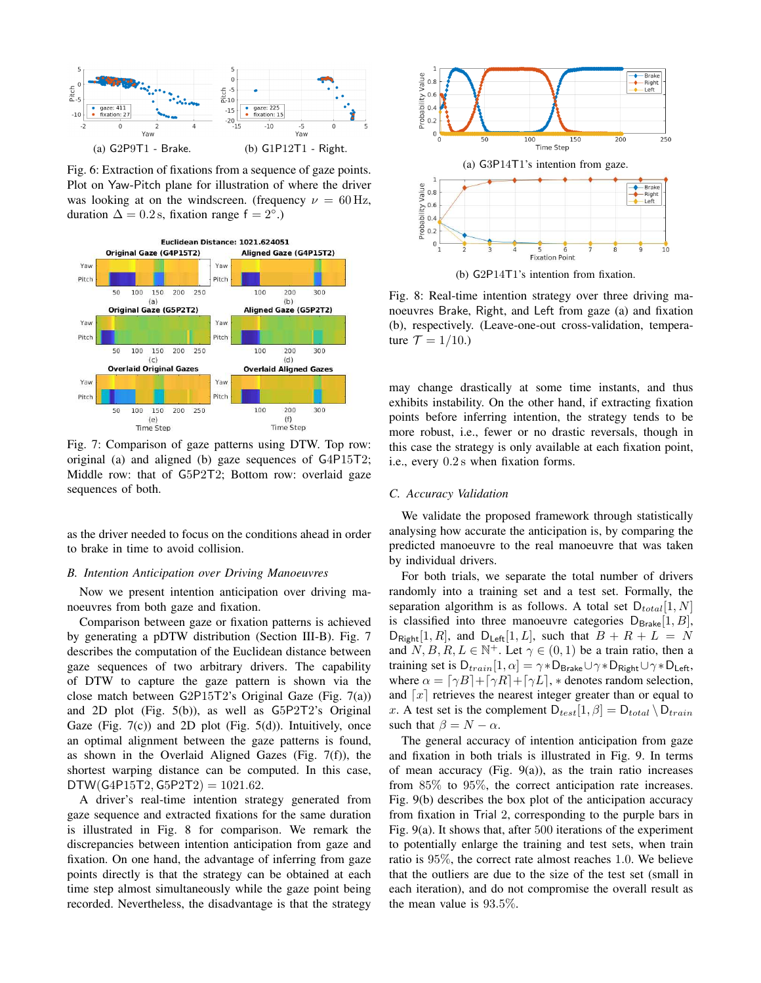<span id="page-6-0"></span>

Fig. 6: Extraction of fixations from a sequence of gaze points. Plot on Yaw-Pitch plane for illustration of where the driver was looking at on the windscreen. (frequency  $\nu = 60$  Hz, duration  $\Delta = 0.2$  s, fixation range f =  $2^{\circ}$ .)



Fig. 7: Comparison of gaze patterns using DTW. Top row: original (a) and aligned (b) gaze sequences of G4P15T2; Middle row: that of G5P2T2; Bottom row: overlaid gaze sequences of both.

as the driver needed to focus on the conditions ahead in order to brake in time to avoid collision.

## *B. Intention Anticipation over Driving Manoeuvres*

Now we present intention anticipation over driving manoeuvres from both gaze and fixation.

Comparison between gaze or fixation patterns is achieved by generating a pDTW distribution (Section [III-B\)](#page-3-2). Fig. [7](#page-5-1) describes the computation of the Euclidean distance between gaze sequences of two arbitrary drivers. The capability of DTW to capture the gaze pattern is shown via the close match between G2P15T2's Original Gaze (Fig. [7\(](#page-5-1)a)) and 2D plot (Fig. [5\(b\)\)](#page-4-3), as well as G5P2T2's Original Gaze (Fig.  $7(c)$ ) and 2D plot (Fig.  $5(d)$ ). Intuitively, once an optimal alignment between the gaze patterns is found, as shown in the Overlaid Aligned Gazes (Fig. [7\(](#page-5-1)f)), the shortest warping distance can be computed. In this case,  $DTW(G4P15T2, G5P2T2) = 1021.62.$ 

<span id="page-6-1"></span>A driver's real-time intention strategy generated from gaze sequence and extracted fixations for the same duration is illustrated in Fig. [8](#page-5-2) for comparison. We remark the discrepancies between intention anticipation from gaze and fixation. On one hand, the advantage of inferring from gaze points directly is that the strategy can be obtained at each time step almost simultaneously while the gaze point being recorded. Nevertheless, the disadvantage is that the strategy



(b) G2P14T1's intention from fixation.

Fig. 8: Real-time intention strategy over three driving manoeuvres Brake, Right, and Left from gaze (a) and fixation (b), respectively. (Leave-one-out cross-validation, temperature  $\mathcal{T} = 1/10$ .)

may change drastically at some time instants, and thus exhibits instability. On the other hand, if extracting fixation points before inferring intention, the strategy tends to be more robust, i.e., fewer or no drastic reversals, though in this case the strategy is only available at each fixation point, i.e., every 0.2 s when fixation forms.

#### *C. Accuracy Validation*

We validate the proposed framework through statistically analysing how accurate the anticipation is, by comparing the predicted manoeuvre to the real manoeuvre that was taken by individual drivers.

For both trials, we separate the total number of drivers randomly into a training set and a test set. Formally, the separation algorithm is as follows. A total set  $D_{total}[1, N]$ is classified into three manoeuvre categories  $D_{\text{Brake}}[1, B]$ ,  $D_{\text{Right}}[1, R]$ , and  $D_{\text{Left}}[1, L]$ , such that  $B + R + L = N$ and  $N, B, R, L \in \mathbb{N}^+$ . Let  $\gamma \in (0, 1)$  be a train ratio, then a training set is  $D_{train}[1, \alpha] = \gamma * D_{Brake} \cup \gamma * D_{Right} \cup \gamma * D_{Left}$ , where  $\alpha = \lfloor \gamma B \rfloor + \lfloor \gamma R \rfloor + \lfloor \gamma L \rfloor$ , \* denotes random selection, and  $\lceil x \rceil$  retrieves the nearest integer greater than or equal to x. A test set is the complement  $D_{test}[1, \beta] = D_{total} \setminus D_{train}$ such that  $\beta = N - \alpha$ .

The general accuracy of intention anticipation from gaze and fixation in both trials is illustrated in Fig. [9.](#page-6-0) In terms of mean accuracy (Fig. [9\(a\)\)](#page-6-0), as the train ratio increases from 85% to 95%, the correct anticipation rate increases. Fig. [9\(b\)](#page-6-0) describes the box plot of the anticipation accuracy from fixation in Trial 2, corresponding to the purple bars in Fig. [9\(a\).](#page-6-0) It shows that, after 500 iterations of the experiment to potentially enlarge the training and test sets, when train ratio is 95%, the correct rate almost reaches 1.0. We believe that the outliers are due to the size of the test set (small in each iteration), and do not compromise the overall result as the mean value is 93.5%.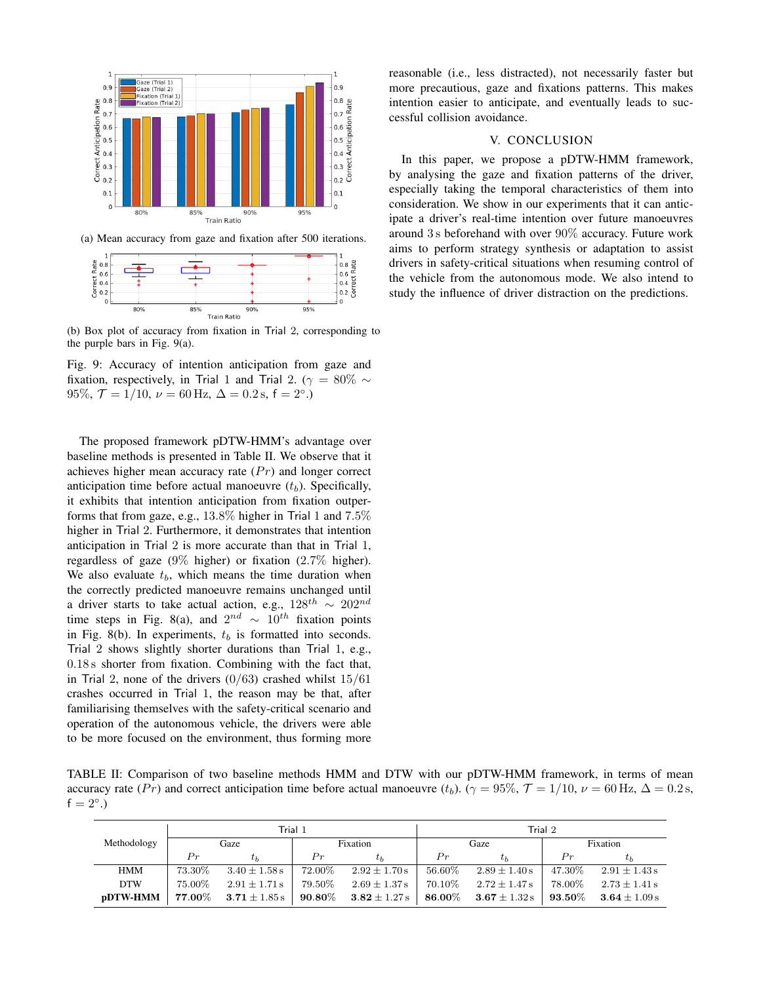

(a) Mean accuracy from gaze and fixation after 500 iterations.



(b) Box plot of accuracy from fixation in Trial 2, corresponding to the purple bars in Fig. [9\(a\).](#page-6-0)

Fig. 9: Accuracy of intention anticipation from gaze and fixation, respectively, in Trial 1 and Trial 2. ( $\gamma = 80\% \sim$ 95%,  $\mathcal{T} = 1/10$ ,  $\nu = 60$  Hz,  $\Delta = 0.2$  s,  $f = 2^{\circ}$ .)

The proposed framework pDTW-HMM's advantage over baseline methods is presented in Table [II.](#page-6-1) We observe that it achieves higher mean accuracy rate  $(Pr)$  and longer correct anticipation time before actual manoeuvre  $(t_b)$ . Specifically, it exhibits that intention anticipation from fixation outperforms that from gaze, e.g., 13.8% higher in Trial 1 and 7.5% higher in Trial 2. Furthermore, it demonstrates that intention anticipation in Trial 2 is more accurate than that in Trial 1, regardless of gaze (9% higher) or fixation (2.7% higher). We also evaluate  $t<sub>b</sub>$ , which means the time duration when the correctly predicted manoeuvre remains unchanged until a driver starts to take actual action, e.g.,  $128^{th} \sim 202^{nd}$ time steps in Fig. [8\(a\),](#page-5-2) and  $2^{nd} \sim 10^{th}$  fixation points in Fig. [8\(b\).](#page-5-2) In experiments,  $t_b$  is formatted into seconds. Trial 2 shows slightly shorter durations than Trial 1, e.g., 0.18 s shorter from fixation. Combining with the fact that, in Trial 2, none of the drivers  $(0/63)$  crashed whilst  $15/61$ crashes occurred in Trial 1, the reason may be that, after familiarising themselves with the safety-critical scenario and operation of the autonomous vehicle, the drivers were able to be more focused on the environment, thus forming more

reasonable (i.e., less distracted), not necessarily faster but more precautious, gaze and fixations patterns. This makes intention easier to anticipate, and eventually leads to successful collision avoidance.

# V. CONCLUSION

In this paper, we propose a pDTW-HMM framework, by analysing the gaze and fixation patterns of the driver, especially taking the temporal characteristics of them into consideration. We show in our experiments that it can anticipate a driver's real-time intention over future manoeuvres around 3 s beforehand with over 90% accuracy. Future work aims to perform strategy synthesis or adaptation to assist drivers in safety-critical situations when resuming control of the vehicle from the autonomous mode. We also intend to study the influence of driver distraction on the predictions.

TABLE II: Comparison of two baseline methods HMM and DTW with our pDTW-HMM framework, in terms of mean accuracy rate  $(Pr)$  and correct anticipation time before actual manoeuvre  $(t_b)$ .  $(\gamma = 95\%, \mathcal{T} = 1/10, \nu = 60 \,\text{Hz}, \Delta = 0.2 \,\text{s}$ ,  $f = 2^{\circ}$ .)

|                 | Trial 1         |                                      |                    | Trial 2                              |           |                           |           |                   |
|-----------------|-----------------|--------------------------------------|--------------------|--------------------------------------|-----------|---------------------------|-----------|-------------------|
| Methodology     | Gaze            |                                      | Fixation           |                                      | Gaze      |                           | Fixation  |                   |
|                 | Pr              |                                      | Pr                 | $\tau_b$                             | Pr        | $t_h$                     | Pr        | $t_b$             |
| <b>HMM</b>      | 73.30%          | $3.40 \pm 1.58$ s                    | $72.00\%$          | $2.92 \pm 1.70 s$                    | $56.60\%$ | $2.89 \pm 1.40 s$         | 47.30%    | $2.91 \pm 1.43$ s |
| <b>DTW</b>      | 75.00%          | $2.91 \pm 1.71$ s                    | 79.50%             | $2.69 \pm 1.37$ s                    | 70.10\%   | $2.72 \pm 1.47$ s         | 78.00%    | $2.73 \pm 1.41$ s |
| <b>pDTW-HMM</b> | $\pmb{77.00\%}$ | $\mathbf{3.71} \pm 1.85\,\mathrm{s}$ | $\textbf{90.80}\%$ | $\mathbf{3.82} \pm 1.27\,\mathrm{s}$ |           | 86.00\% 3.67 $\pm$ 1.32 s | $93.50\%$ | $3.64 \pm 1.09 s$ |